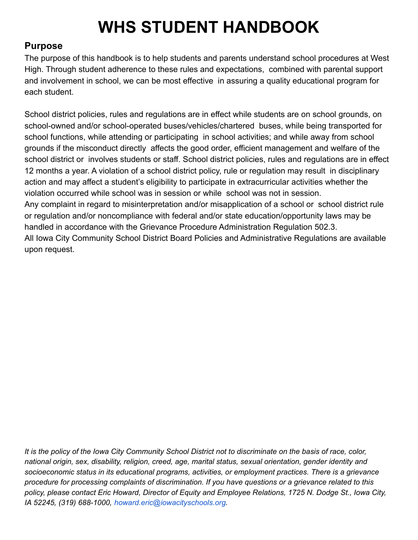# **WHS STUDENT HANDBOOK**

# **Purpose**

The purpose of this handbook is to help students and parents understand school procedures at West High. Through student adherence to these rules and expectations, combined with parental support and involvement in school, we can be most effective in assuring a quality educational program for each student.

School district policies, rules and regulations are in effect while students are on school grounds, on school-owned and/or school-operated buses/vehicles/chartered buses, while being transported for school functions, while attending or participating in school activities; and while away from school grounds if the misconduct directly affects the good order, efficient management and welfare of the school district or involves students or staff. School district policies, rules and regulations are in effect 12 months a year. A violation of a school district policy, rule or regulation may result in disciplinary action and may affect a student's eligibility to participate in extracurricular activities whether the violation occurred while school was in session or while school was not in session. Any complaint in regard to misinterpretation and/or misapplication of a school or school district rule or regulation and/or noncompliance with federal and/or state education/opportunity laws may be handled in accordance with the Grievance Procedure Administration Regulation 502.3. All Iowa City Community School District Board Policies and Administrative Regulations are available upon request.

It is the policy of the Iowa City Community School District not to discriminate on the basis of race, color,  *national origin, sex, disability, religion, creed, age, marital status, sexual orientation, gender identity and socioeconomic status in its educational programs, activities, or employment practices. There is a grievance* procedure for processing complaints of discrimination. If you have questions or a grievance related to this policy, please contact Eric Howard, Director of Equity and Employee Relations, 1725 N. Dodge St., Iowa City,  *IA 52245, (319) 688-1000, [howard.eric@iowacityschools.org.](mailto:howard.eric@iowacityschools.org)*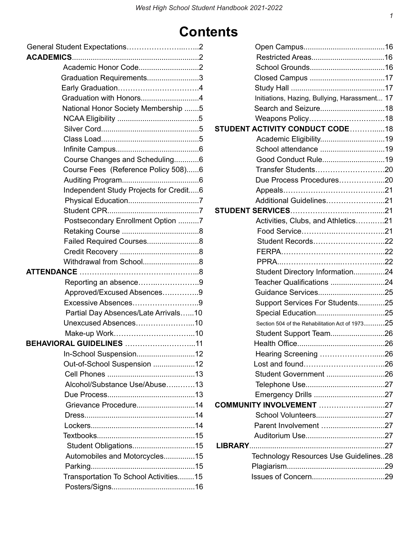# **Contents**

| Academic Honor Code2                   |  |
|----------------------------------------|--|
| Graduation Requirements3               |  |
|                                        |  |
| Graduation with Honors4                |  |
| National Honor Society Membership 5    |  |
|                                        |  |
|                                        |  |
|                                        |  |
|                                        |  |
| Course Changes and Scheduling6         |  |
| Course Fees (Reference Policy 508)6    |  |
|                                        |  |
| Independent Study Projects for Credit6 |  |
|                                        |  |
|                                        |  |
| Postsecondary Enrollment Option 7      |  |
|                                        |  |
| Failed Required Courses8               |  |
|                                        |  |
| Withdrawal from School8                |  |
|                                        |  |
| Reporting an absence9                  |  |
| Approved/Excused Absences9             |  |
| Excessive Absences9                    |  |
| Partial Day Absences/Late Arrivals10   |  |
| Unexcused Absences10                   |  |
|                                        |  |
| BEHAVIORAL GUIDELINES 11               |  |
|                                        |  |
| Out-of-School Suspension 12            |  |
|                                        |  |
| Alcohol/Substance Use/Abuse13          |  |
|                                        |  |
| Grievance Procedure14                  |  |
|                                        |  |
|                                        |  |
|                                        |  |
| Student Obligations15                  |  |
| Automobiles and Motorcycles15          |  |
|                                        |  |
| Transportation To School Activities15  |  |
|                                        |  |

| Initiations, Hazing, Bullying, Harassment 17    |  |
|-------------------------------------------------|--|
|                                                 |  |
|                                                 |  |
| <b>STUDENT ACTIVITY CONDUCT CODE 18</b>         |  |
|                                                 |  |
| School attendance 19                            |  |
| Good Conduct Rule19                             |  |
|                                                 |  |
| Due Process Procedures20                        |  |
|                                                 |  |
| Additional Guidelines21                         |  |
|                                                 |  |
| Activities, Clubs, and Athletics21              |  |
|                                                 |  |
| Student Records22                               |  |
|                                                 |  |
|                                                 |  |
| Student Directory Information24                 |  |
| Teacher Qualifications 24                       |  |
| Guidance Services25                             |  |
| Support Services For Students25                 |  |
|                                                 |  |
| Section 504 of the Rehabilitation Act of 197325 |  |
| Student Support Team26                          |  |
|                                                 |  |
| Hearing Screening 26                            |  |
|                                                 |  |
| Student Government 26                           |  |
|                                                 |  |
|                                                 |  |
| <b>COMMUNITY INVOLVEMENT 27</b>                 |  |
|                                                 |  |
| Parent Involvement 27                           |  |
|                                                 |  |
|                                                 |  |
| Technology Resources Use Guidelines28           |  |
|                                                 |  |
|                                                 |  |
|                                                 |  |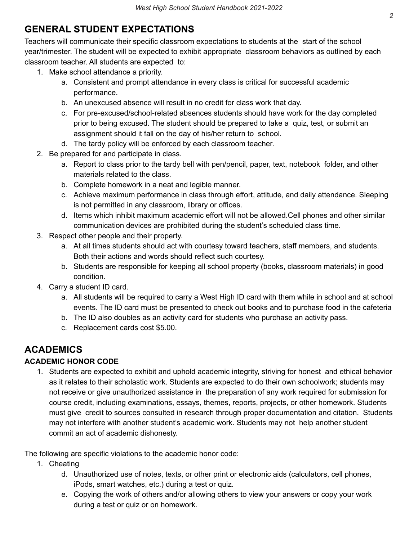# **GENERAL STUDENT EXPECTATIONS**

 Teachers will communicate their specific classroom expectations to students at the start of the school year/trimester. The student will be expected to exhibit appropriate classroom behaviors as outlined by each classroom teacher. All students are expected to:

- 1. Make school attendance a priority.
	- a. Consistent and prompt attendance in every class is critical for successful academic performance.
	- b. An unexcused absence will result in no credit for class work that day.
	- c. For pre-excused/school-related absences students should have work for the day completed prior to being excused. The student should be prepared to take a quiz, test, or submit an assignment should it fall on the day of his/her return to school.
	- d. The tardy policy will be enforced by each classroom teacher.
- 2. Be prepared for and participate in class.
	- a. Report to class prior to the tardy bell with pen/pencil, paper, text, notebook folder, and other materials related to the class.
	- b. Complete homework in a neat and legible manner.
	- c. Achieve maximum performance in class through effort, attitude, and daily attendance. Sleeping is not permitted in any classroom, library or offices.
	- d. Items which inhibit maximum academic effort will not be allowed.Cell phones and other similar communication devices are prohibited during the student's scheduled class time.
- 3. Respect other people and their property.
	- a. At all times students should act with courtesy toward teachers, staff members, and students. Both their actions and words should reflect such courtesy.
	- b. Students are responsible for keeping all school property (books, classroom materials) in good condition.
- 4. Carry a student ID card.
	- a. All students will be required to carry a West High ID card with them while in school and at school events. The ID card must be presented to check out books and to purchase food in the cafeteria
	- b. The ID also doubles as an activity card for students who purchase an activity pass.
	- c. Replacement cards cost \$5.00.

# **ACADEMICS**

## **ACADEMIC HONOR CODE**

 1. Students are expected to exhibit and uphold academic integrity, striving for honest and ethical behavior as it relates to their scholastic work. Students are expected to do their own schoolwork; students may not receive or give unauthorized assistance in the preparation of any work required for submission for course credit, including examinations, essays, themes, reports, projects, or other homework. Students must give credit to sources consulted in research through proper documentation and citation. Students may not interfere with another student's academic work. Students may not help another student commit an act of academic dishonesty.

The following are specific violations to the academic honor code:

- 1. Cheating
	- d. Unauthorized use of notes, texts, or other print or electronic aids (calculators, cell phones, iPods, smart watches, etc.) during a test or quiz.
	- e. Copying the work of others and/or allowing others to view your answers or copy your work during a test or quiz or on homework.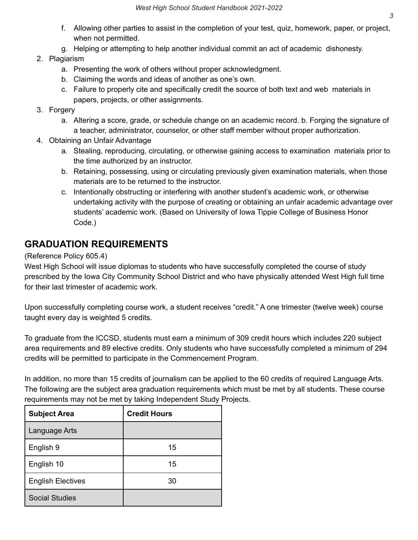- f. Allowing other parties to assist in the completion of your test, quiz, homework, paper, or project, when not permitted.
- g. Helping or attempting to help another individual commit an act of academic dishonesty.

## 2. Plagiarism

- a. Presenting the work of others without proper acknowledgment.
- b. Claiming the words and ideas of another as one's own.
- c. Failure to properly cite and specifically credit the source of both text and web materials in papers, projects, or other assignments.

### 3. Forgery

- a. Altering a score, grade, or schedule change on an academic record. b. Forging the signature of a teacher, administrator, counselor, or other staff member without proper authorization.
- 4. Obtaining an Unfair Advantage
	- a. Stealing, reproducing, circulating, or otherwise gaining access to examination materials prior to the time authorized by an instructor.
	- b. Retaining, possessing, using or circulating previously given examination materials, when those materials are to be returned to the instructor.
	- c. Intentionally obstructing or interfering with another student's academic work, or otherwise undertaking activity with the purpose of creating or obtaining an unfair academic advantage over students' academic work. (Based on University of Iowa Tippie College of Business Honor Code.)

## **GRADUATION REQUIREMENTS**

(Reference Policy 605.4)

 West High School will issue diplomas to students who have successfully completed the course of study prescribed by the Iowa City Community School District and who have physically attended West High full time for their last trimester of academic work.

 Upon successfully completing course work, a student receives "credit." A one trimester (twelve week) course taught every day is weighted 5 credits.

 To graduate from the ICCSD, students must earn a minimum of 309 credit hours which includes 220 subject area requirements and 89 elective credits. Only students who have successfully completed a minimum of 294 credits will be permitted to participate in the Commencement Program.

 In addition, no more than 15 credits of journalism can be applied to the 60 credits of required Language Arts. The following are the subject area graduation requirements which must be met by all students. These course requirements may not be met by taking Independent Study Projects.

| <b>Subject Area</b>      | <b>Credit Hours</b> |
|--------------------------|---------------------|
| Language Arts            |                     |
| English 9                | 15                  |
| English 10               | 15                  |
| <b>English Electives</b> | 30                  |
| <b>Social Studies</b>    |                     |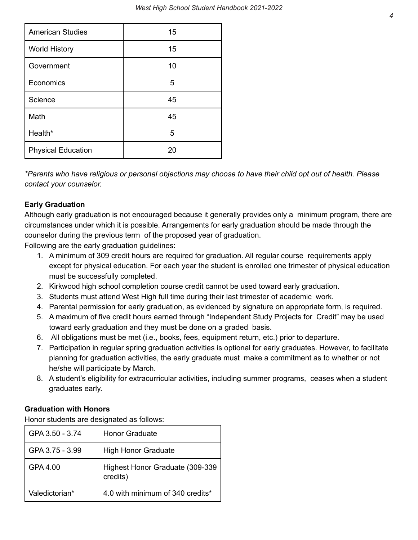| <b>American Studies</b>   | 15 |
|---------------------------|----|
| <b>World History</b>      | 15 |
| Government                | 10 |
| Economics                 | 5  |
| Science                   | 45 |
| Math                      | 45 |
| Health*                   | 5  |
| <b>Physical Education</b> | 20 |

\*Parents who have religious or personal objections may choose to have their child opt out of health. Please  *contact your counselor.*

## **Early Graduation**

 Although early graduation is not encouraged because it generally provides only a minimum program, there are circumstances under which it is possible. Arrangements for early graduation should be made through the counselor during the previous term of the proposed year of graduation.

Following are the early graduation guidelines:

- 1. A minimum of 309 credit hours are required for graduation. All regular course requirements apply except for physical education. For each year the student is enrolled one trimester of physical education must be successfully completed.
- 2. Kirkwood high school completion course credit cannot be used toward early graduation.
- 3. Students must attend West High full time during their last trimester of academic work.
- 4. Parental permission for early graduation, as evidenced by signature on appropriate form, is required.
- 5. A maximum of five credit hours earned through "Independent Study Projects for Credit" may be used toward early graduation and they must be done on a graded basis.
- 6. All obligations must be met (i.e., books, fees, equipment return, etc.) prior to departure.
- 7. Participation in regular spring graduation activities is optional for early graduates. However, to facilitate planning for graduation activities, the early graduate must make a commitment as to whether or not he/she will participate by March.
- 8. A student's eligibility for extracurricular activities, including summer programs, ceases when a student graduates early.

## **Graduation with Honors**

Honor students are designated as follows:

| GPA 3.50 - 3.74 | <b>Honor Graduate</b>                       |
|-----------------|---------------------------------------------|
| GPA 3.75 - 3.99 | <b>High Honor Graduate</b>                  |
| GPA 4.00        | Highest Honor Graduate (309-339<br>credits) |
| Valedictorian*  | 4.0 with minimum of 340 credits*            |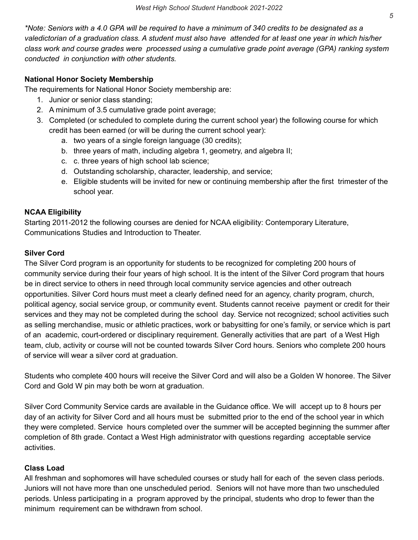\*Note: Seniors with a 4.0 GPA will be required to have a minimum of 340 credits to be designated as a valedictorian of a graduation class. A student must also have attended for at least one year in which his/her  *class work and course grades were processed using a cumulative grade point average (GPA) ranking system conducted in conjunction with other students.*

### **National Honor Society Membership**

The requirements for National Honor Society membership are:

- 1. Junior or senior class standing;
- 2. A minimum of 3.5 cumulative grade point average;
- 3. Completed (or scheduled to complete during the current school year) the following course for which credit has been earned (or will be during the current school year):
	- a. two years of a single foreign language (30 credits);
	- b. three years of math, including algebra 1, geometry, and algebra II;
	- c. c. three years of high school lab science;
	- d. Outstanding scholarship, character, leadership, and service;
	- e. Eligible students will be invited for new or continuing membership after the first trimester of the school year.

#### **NCAA Eligibility**

 Starting 2011-2012 the following courses are denied for NCAA eligibility: Contemporary Literature, Communications Studies and Introduction to Theater.

#### **Silver Cord**

 The Silver Cord program is an opportunity for students to be recognized for completing 200 hours of community service during their four years of high school. It is the intent of the Silver Cord program that hours be in direct service to others in need through local community service agencies and other outreach opportunities. Silver Cord hours must meet a clearly defined need for an agency, charity program, church, political agency, social service group, or community event. Students cannot receive payment or credit for their services and they may not be completed during the school day. Service not recognized; school activities such as selling merchandise, music or athletic practices, work or babysitting for one's family, or service which is part of an academic, court-ordered or disciplinary requirement. Generally activities that are part of a West High team, club, activity or course will not be counted towards Silver Cord hours. Seniors who complete 200 hours of service will wear a silver cord at graduation.

 Students who complete 400 hours will receive the Silver Cord and will also be a Golden W honoree. The Silver Cord and Gold W pin may both be worn at graduation.

 Silver Cord Community Service cards are available in the Guidance office. We will accept up to 8 hours per day of an activity for Silver Cord and all hours must be submitted prior to the end of the school year in which they were completed. Service hours completed over the summer will be accepted beginning the summer after completion of 8th grade. Contact a West High administrator with questions regarding acceptable service activities.

#### **Class Load**

 All freshman and sophomores will have scheduled courses or study hall for each of the seven class periods. Juniors will not have more than one unscheduled period. Seniors will not have more than two unscheduled periods. Unless participating in a program approved by the principal, students who drop to fewer than the minimum requirement can be withdrawn from school.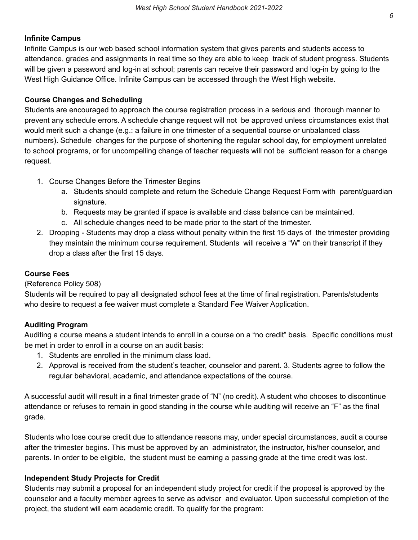#### **Infinite Campus**

 Infinite Campus is our web based school information system that gives parents and students access to attendance, grades and assignments in real time so they are able to keep track of student progress. Students will be given a password and log-in at school; parents can receive their password and log-in by going to the West High Guidance Office. Infinite Campus can be accessed through the West High website.

#### **Course Changes and Scheduling**

 Students are encouraged to approach the course registration process in a serious and thorough manner to prevent any schedule errors. A schedule change request will not be approved unless circumstances exist that would merit such a change (e.g.: a failure in one trimester of a sequential course or unbalanced class numbers). Schedule changes for the purpose of shortening the regular school day, for employment unrelated to school programs, or for uncompelling change of teacher requests will not be sufficient reason for a change request.

- 1. Course Changes Before the Trimester Begins
	- a. Students should complete and return the Schedule Change Request Form with parent/guardian signature.
	- b. Requests may be granted if space is available and class balance can be maintained.
	- c. All schedule changes need to be made prior to the start of the trimester.
- 2. Dropping Students may drop a class without penalty within the first 15 days of the trimester providing they maintain the minimum course requirement. Students will receive a "W" on their transcript if they drop a class after the first 15 days.

#### **Course Fees**

#### (Reference Policy 508)

 Students will be required to pay all designated school fees at the time of final registration. Parents/students who desire to request a fee waiver must complete a Standard Fee Waiver Application.

#### **Auditing Program**

 Auditing a course means a student intends to enroll in a course on a "no credit" basis. Specific conditions must be met in order to enroll in a course on an audit basis:

- 1. Students are enrolled in the minimum class load.
- 2. Approval is received from the student's teacher, counselor and parent. 3. Students agree to follow the regular behavioral, academic, and attendance expectations of the course.

 A successful audit will result in a final trimester grade of "N" (no credit). A student who chooses to discontinue attendance or refuses to remain in good standing in the course while auditing will receive an "F" as the final grade.

 Students who lose course credit due to attendance reasons may, under special circumstances, audit a course after the trimester begins. This must be approved by an administrator, the instructor, his/her counselor, and parents. In order to be eligible, the student must be earning a passing grade at the time credit was lost.

#### **Independent Study Projects for Credit**

 Students may submit a proposal for an independent study project for credit if the proposal is approved by the counselor and a faculty member agrees to serve as advisor and evaluator. Upon successful completion of the project, the student will earn academic credit. To qualify for the program: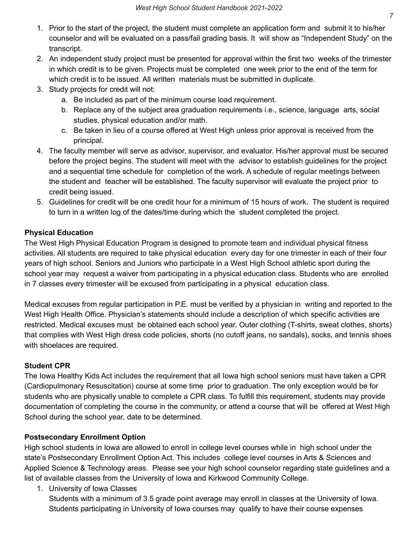- 1. Prior to the start of the project, the student must complete an application form and submit it to his/her counselor and will be evaluated on a pass/fail grading basis. It will show as "Independent Study" on the transcript.
- 2. An independent study project must be presented for approval within the first two weeks of the trimester in which credit is to be given. Projects must be completed one week prior to the end of the term for which credit is to be issued. All written materials must be submitted in duplicate.
- 3. Study projects for credit will not:
	- a. Be included as part of the minimum course load requirement.
	- b. Replace any of the subject area graduation requirements i.e., science, language arts, social studies, physical education and/or math.
	- c. Be taken in lieu of a course offered at West High unless prior approval is received from the principal.
- 4. The faculty member will serve as advisor, supervisor, and evaluator. His/her approval must be secured before the project begins. The student will meet with the advisor to establish guidelines for the project and a sequential time schedule for completion of the work. A schedule of regular meetings between the student and teacher will be established. The faculty supervisor will evaluate the project prior to credit being issued.
- 5. Guidelines for credit will be one credit hour for a minimum of 15 hours of work. The student is required to turn in a written log of the dates/time during which the student completed the project.

## **Physical Education**

 The West High Physical Education Program is designed to promote team and individual physical fitness activities. All students are required to take physical education every day for one trimester in each of their four years of high school. Seniors and Juniors who participate in a West High School athletic sport during the school year may request a waiver from participating in a physical education class. Students who are enrolled in 7 classes every trimester will be excused from participating in a physical education class.

 Medical excuses from regular participation in P.E. must be verified by a physician in writing and reported to the West High Health Office. Physician's statements should include a description of which specific activities are restricted. Medical excuses must be obtained each school year. Outer clothing (T-shirts, sweat clothes, shorts) that complies with West High dress code policies, shorts (no cutoff jeans, no sandals), socks, and tennis shoes with shoelaces are required.

## **Student CPR**

 The Iowa Healthy Kids Act includes the requirement that all Iowa high school seniors must have taken a CPR (Cardiopulmonary Resuscitation) course at some time prior to graduation. The only exception would be for students who are physically unable to complete a CPR class. To fulfill this requirement, students may provide documentation of completing the course in the community, or attend a course that will be offered at West High School during the school year, date to be determined.

## **Postsecondary Enrollment Option**

 High school students in Iowa are allowed to enroll in college level courses while in high school under the state's Postsecondary Enrollment Option Act. This includes college level courses in Arts & Sciences and Applied Science & Technology areas. Please see your high school counselor regarding state guidelines and a list of available classes from the University of Iowa and Kirkwood Community College.

1. University of Iowa Classes

 Students with a minimum of 3.5 grade point average may enroll in classes at the University of Iowa. Students participating in University of Iowa courses may qualify to have their course expenses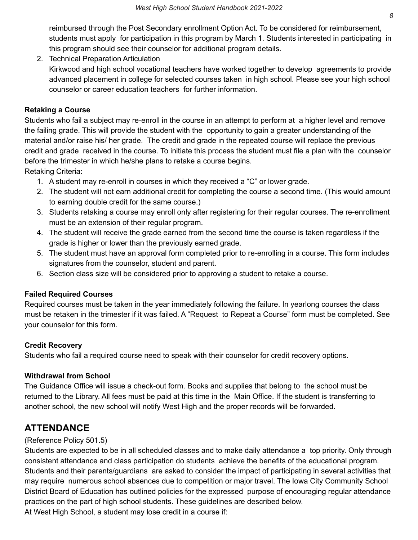reimbursed through the Post Secondary enrollment Option Act. To be considered for reimbursement, students must apply for participation in this program by March 1. Students interested in participating in this program should see their counselor for additional program details.

 Kirkwood and high school vocational teachers have worked together to develop agreements to provide advanced placement in college for selected courses taken in high school. Please see your high school counselor or career education teachers for further information. 2. Technical Preparation Articulation

#### **Retaking a Course**

 Students who fail a subject may re-enroll in the course in an attempt to perform at a higher level and remove the failing grade. This will provide the student with the opportunity to gain a greater understanding of the material and/or raise his/ her grade. The credit and grade in the repeated course will replace the previous credit and grade received in the course. To initiate this process the student must file a plan with the counselor before the trimester in which he/she plans to retake a course begins.

Retaking Criteria:

- 1. A student may re-enroll in courses in which they received a "C" or lower grade.
- 2. The student will not earn additional credit for completing the course a second time. (This would amount to earning double credit for the same course.)
- 3. Students retaking a course may enroll only after registering for their regular courses. The re-enrollment must be an extension of their regular program.
- 4. The student will receive the grade earned from the second time the course is taken regardless if the grade is higher or lower than the previously earned grade.
- 5. The student must have an approval form completed prior to re-enrolling in a course. This form includes signatures from the counselor, student and parent.
- 6. Section class size will be considered prior to approving a student to retake a course.

## **Failed Required Courses**

 Required courses must be taken in the year immediately following the failure. In yearlong courses the class must be retaken in the trimester if it was failed. A "Request to Repeat a Course" form must be completed. See your counselor for this form.

## **Credit Recovery**

Students who fail a required course need to speak with their counselor for credit recovery options.

## **Withdrawal from School**

 The Guidance Office will issue a check-out form. Books and supplies that belong to the school must be returned to the Library. All fees must be paid at this time in the Main Office. If the student is transferring to another school, the new school will notify West High and the proper records will be forwarded.

## **ATTENDANCE**

## (Reference Policy 501.5)

 Students are expected to be in all scheduled classes and to make daily attendance a top priority. Only through consistent attendance and class participation do students achieve the benefits of the educational program. Students and their parents/guardians are asked to consider the impact of participating in several activities that may require numerous school absences due to competition or major travel. The Iowa City Community School District Board of Education has outlined policies for the expressed purpose of encouraging regular attendance practices on the part of high school students. These guidelines are described below.

At West High School, a student may lose credit in a course if: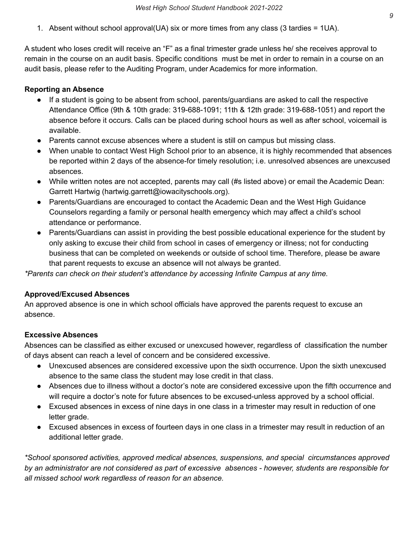1. Absent without school approval(UA) six or more times from any class (3 tardies = 1UA).

 A student who loses credit will receive an "F" as a final trimester grade unless he/ she receives approval to remain in the course on an audit basis. Specific conditions must be met in order to remain in a course on an audit basis, please refer to the Auditing Program, under Academics for more information.

#### **Reporting an Absence**

- ● If a student is going to be absent from school, parents/guardians are asked to call the respective Attendance Office (9th & 10th grade: 319-688-1091; 11th & 12th grade: 319-688-1051) and report the absence before it occurs. Calls can be placed during school hours as well as after school, voicemail is available.
- Parents cannot excuse absences where a student is still on campus but missing class.
- ● When unable to contact West High School prior to an absence, it is highly recommended that absences be reported within 2 days of the absence-for timely resolution; i.e. unresolved absences are unexcused absences.
- ● While written notes are not accepted, parents may call (#s listed above) or email the Academic Dean: Garrett Hartwig [\(hartwig.garrett@iowacityschools.org\)](mailto:hartwig.garrett@iowacityschools.org).
- ● Parents/Guardians are encouraged to contact the Academic Dean and the West High Guidance Counselors regarding a family or personal health emergency which may affect a child's school attendance or performance.
- ● Parents/Guardians can assist in providing the best possible educational experience for the student by only asking to excuse their child from school in cases of emergency or illness; not for conducting business that can be completed on weekends or outside of school time. Therefore, please be aware that parent requests to excuse an absence will not always be granted.

 *\*Parents can check on their student's attendance by accessing Infinite Campus at any time.*

## **Approved/Excused Absences**

 An approved absence is one in which school officials have approved the parents request to excuse an absence.

## **Excessive Absences**

 Absences can be classified as either excused or unexcused however, regardless of classification the number of days absent can reach a level of concern and be considered excessive.

- ● Unexcused absences are considered excessive upon the sixth occurrence. Upon the sixth unexcused absence to the same class the student may lose credit in that class.
- ● Absences due to illness without a doctor's note are considered excessive upon the fifth occurrence and will require a doctor's note for future absences to be excused-unless approved by a school official.
- ● Excused absences in excess of nine days in one class in a trimester may result in reduction of one letter grade.
- additional letter grade. ● Excused absences in excess of fourteen days in one class in a trimester may result in reduction of an

 *\*School sponsored activities, approved medical absences, suspensions, and special circumstances approved* by an administrator are not considered as part of excessive absences - however, students are responsible for  *all missed school work regardless of reason for an absence.*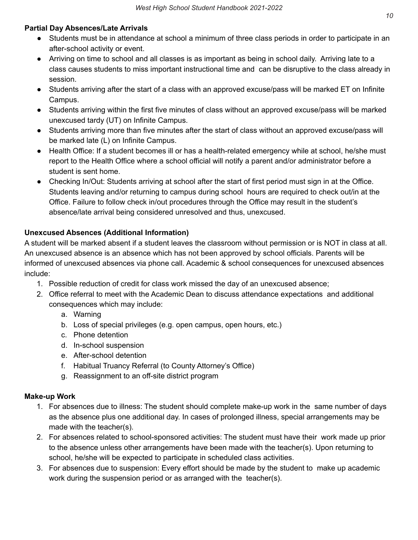## **Partial Day Absences/Late Arrivals**

- ● Students must be in attendance at school a minimum of three class periods in order to participate in an after-school activity or event.
- ● Arriving on time to school and all classes is as important as being in school daily. Arriving late to a class causes students to miss important instructional time and can be disruptive to the class already in session.
- ● Students arriving after the start of a class with an approved excuse/pass will be marked ET on Infinite Campus.
- ● Students arriving within the first five minutes of class without an approved excuse/pass will be marked unexcused tardy (UT) on Infinite Campus.
- ● Students arriving more than five minutes after the start of class without an approved excuse/pass will be marked late (L) on Infinite Campus.
- ● Health Office: If a student becomes ill or has a health-related emergency while at school, he/she must report to the Health Office where a school official will notify a parent and/or administrator before a student is sent home.
- ● Checking In/Out: Students arriving at school after the start of first period must sign in at the Office. Students leaving and/or returning to campus during school hours are required to check out/in at the Office. Failure to follow check in/out procedures through the Office may result in the student's absence/late arrival being considered unresolved and thus, unexcused.

## **Unexcused Absences (Additional Information)**

 A student will be marked absent if a student leaves the classroom without permission or is NOT in class at all. An unexcused absence is an absence which has not been approved by school officials. Parents will be informed of unexcused absences via phone call. Academic & school consequences for unexcused absences include:

- 1. Possible reduction of credit for class work missed the day of an unexcused absence;
- 2. Office referral to meet with the Academic Dean to discuss attendance expectations and additional consequences which may include:
	- a. Warning
	- b. Loss of special privileges (e.g. open campus, open hours, etc.)
	- c. Phone detention
	- d. In-school suspension
	- e. After-school detention
	- f. Habitual Truancy Referral (to County Attorney's Office)
	- g. Reassignment to an off-site district program

#### **Make-up Work**

- 1. For absences due to illness: The student should complete make-up work in the same number of days as the absence plus one additional day. In cases of prolonged illness, special arrangements may be made with the teacher(s).
- 2. For absences related to school-sponsored activities: The student must have their work made up prior to the absence unless other arrangements have been made with the teacher(s). Upon returning to school, he/she will be expected to participate in scheduled class activities.
- 3. For absences due to suspension: Every effort should be made by the student to make up academic work during the suspension period or as arranged with the teacher(s).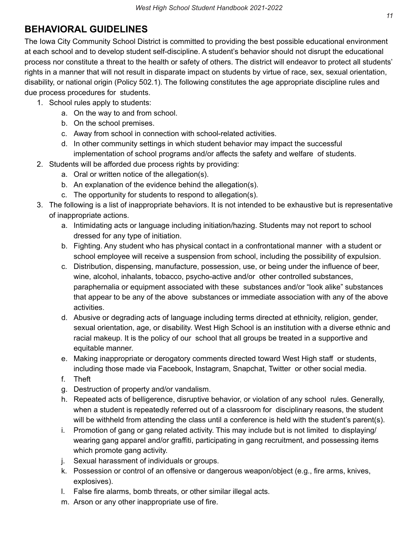# **BEHAVIORAL GUIDELINES**

 The Iowa City Community School District is committed to providing the best possible educational environment at each school and to develop student self-discipline. A student's behavior should not disrupt the educational process nor constitute a threat to the health or safety of others. The district will endeavor to protect all students' rights in a manner that will not result in disparate impact on students by virtue of race, sex, sexual orientation, disability, or national origin (Policy 502.1). The following constitutes the age appropriate discipline rules and due process procedures for students.

- 1. School rules apply to students:
	- a. On the way to and from school.
	- b. On the school premises.
	- c. Away from school in connection with school-related activities.
	- d. In other community settings in which student behavior may impact the successful implementation of school programs and/or affects the safety and welfare of students.
- 2. Students will be afforded due process rights by providing:
	- a. Oral or written notice of the allegation(s).
	- b. An explanation of the evidence behind the allegation(s).
	- c. The opportunity for students to respond to allegation(s).
- 3. The following is a list of inappropriate behaviors. It is not intended to be exhaustive but is representative of inappropriate actions.
	- a. Intimidating acts or language including initiation/hazing. Students may not report to school dressed for any type of initiation.
	- b. Fighting. Any student who has physical contact in a confrontational manner with a student or school employee will receive a suspension from school, including the possibility of expulsion.
	- c. Distribution, dispensing, manufacture, possession, use, or being under the influence of beer, wine, alcohol, inhalants, tobacco, psycho-active and/or other controlled substances, paraphernalia or equipment associated with these substances and/or "look alike" substances that appear to be any of the above substances or immediate association with any of the above activities.
	- d. Abusive or degrading acts of language including terms directed at ethnicity, religion, gender, sexual orientation, age, or disability. West High School is an institution with a diverse ethnic and racial makeup. It is the policy of our school that all groups be treated in a supportive and equitable manner.
	- e. Making inappropriate or derogatory comments directed toward West High staff or students, including those made via Facebook, Instagram, Snapchat, Twitter or other social media.
	- f. Theft
	- g. Destruction of property and/or vandalism.
	- h. Repeated acts of belligerence, disruptive behavior, or violation of any school rules. Generally, when a student is repeatedly referred out of a classroom for disciplinary reasons, the student will be withheld from attending the class until a conference is held with the student's parent(s).
	- i. Promotion of gang or gang related activity. This may include but is not limited to displaying/ wearing gang apparel and/or graffiti, participating in gang recruitment, and possessing items which promote gang activity.
	- j. Sexual harassment of individuals or groups.
	- k. Possession or control of an offensive or dangerous weapon/object (e.g., fire arms, knives, explosives).
	- l. False fire alarms, bomb threats, or other similar illegal acts.
	- m. Arson or any other inappropriate use of fire.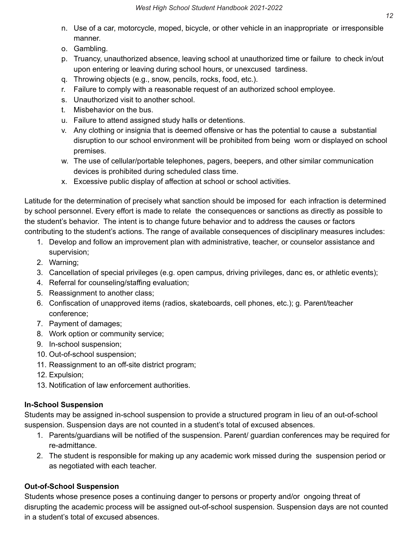- n. Use of a car, motorcycle, moped, bicycle, or other vehicle in an inappropriate or irresponsible manner.
- o. Gambling.
- p. Truancy, unauthorized absence, leaving school at unauthorized time or failure to check in/out upon entering or leaving during school hours, or unexcused tardiness.
- q. Throwing objects (e.g., snow, pencils, rocks, food, etc.).
- r. Failure to comply with a reasonable request of an authorized school employee.
- s. Unauthorized visit to another school.
- t. Misbehavior on the bus.
- u. Failure to attend assigned study halls or detentions.
- v. Any clothing or insignia that is deemed offensive or has the potential to cause a substantial disruption to our school environment will be prohibited from being worn or displayed on school premises.
- w. The use of cellular/portable telephones, pagers, beepers, and other similar communication devices is prohibited during scheduled class time.
- x. Excessive public display of affection at school or school activities.

 Latitude for the determination of precisely what sanction should be imposed for each infraction is determined by school personnel. Every effort is made to relate the consequences or sanctions as directly as possible to the student's behavior. The intent is to change future behavior and to address the causes or factors contributing to the student's actions. The range of available consequences of disciplinary measures includes:

- 1. Develop and follow an improvement plan with administrative, teacher, or counselor assistance and supervision;
- 2. Warning;
- 3. Cancellation of special privileges (e.g. open campus, driving privileges, danc es, or athletic events);
- 4. Referral for counseling/staffing evaluation;
- 5. Reassignment to another class;
- 6. Confiscation of unapproved items (radios, skateboards, cell phones, etc.); g. Parent/teacher conference;
- 7. Payment of damages;
- 8. Work option or community service;
- 9. In-school suspension;
- 10. Out-of-school suspension;
- 11. Reassignment to an off-site district program;
- 12. Expulsion;
- 13. Notification of law enforcement authorities.

## **In-School Suspension**

 Students may be assigned in-school suspension to provide a structured program in lieu of an out-of-school suspension. Suspension days are not counted in a student's total of excused absences.

- 1. Parents/guardians will be notified of the suspension. Parent/ guardian conferences may be required for re-admittance.
- 2. The student is responsible for making up any academic work missed during the suspension period or as negotiated with each teacher.

## **Out-of-School Suspension**

 Students whose presence poses a continuing danger to persons or property and/or ongoing threat of disrupting the academic process will be assigned out-of-school suspension. Suspension days are not counted in a student's total of excused absences.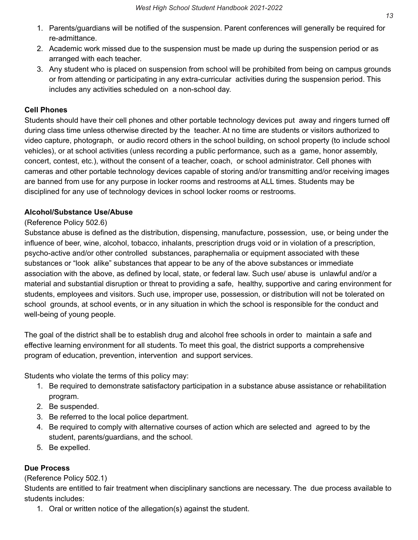- 1. Parents/guardians will be notified of the suspension. Parent conferences will generally be required for re-admittance.
- 2. Academic work missed due to the suspension must be made up during the suspension period or as arranged with each teacher.
- 3. Any student who is placed on suspension from school will be prohibited from being on campus grounds or from attending or participating in any extra-curricular activities during the suspension period. This includes any activities scheduled on a non-school day.

#### **Cell Phones**

 Students should have their cell phones and other portable technology devices put away and ringers turned off during class time unless otherwise directed by the teacher. At no time are students or visitors authorized to video capture, photograph, or audio record others in the school building, on school property (to include school vehicles), or at school activities (unless recording a public performance, such as a game, honor assembly, concert, contest, etc.), without the consent of a teacher, coach, or school administrator. Cell phones with cameras and other portable technology devices capable of storing and/or transmitting and/or receiving images are banned from use for any purpose in locker rooms and restrooms at ALL times. Students may be disciplined for any use of technology devices in school locker rooms or restrooms.

#### **Alcohol/Substance Use/Abuse**

#### (Reference Policy 502.6)

 Substance abuse is defined as the distribution, dispensing, manufacture, possession, use, or being under the influence of beer, wine, alcohol, tobacco, inhalants, prescription drugs void or in violation of a prescription, psycho-active and/or other controlled substances, paraphernalia or equipment associated with these substances or "look alike" substances that appear to be any of the above substances or immediate association with the above, as defined by local, state, or federal law. Such use/ abuse is unlawful and/or a material and substantial disruption or threat to providing a safe, healthy, supportive and caring environment for students, employees and visitors. Such use, improper use, possession, or distribution will not be tolerated on school grounds, at school events, or in any situation in which the school is responsible for the conduct and well-being of young people.

 The goal of the district shall be to establish drug and alcohol free schools in order to maintain a safe and effective learning environment for all students. To meet this goal, the district supports a comprehensive program of education, prevention, intervention and support services.

Students who violate the terms of this policy may:

- 1. Be required to demonstrate satisfactory participation in a substance abuse assistance or rehabilitation program.
- 2. Be suspended.
- 3. Be referred to the local police department.
- 4. Be required to comply with alternative courses of action which are selected and agreed to by the student, parents/guardians, and the school.
- 5. Be expelled.

## **Due Process**

## (Reference Policy 502.1)

 Students are entitled to fair treatment when disciplinary sanctions are necessary. The due process available to students includes:

1. Oral or written notice of the allegation(s) against the student.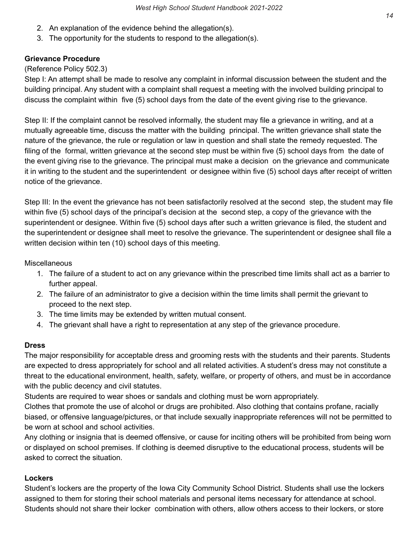- 2. An explanation of the evidence behind the allegation(s).
- 3. The opportunity for the students to respond to the allegation(s).

#### **Grievance Procedure**

#### (Reference Policy 502.3)

 Step I: An attempt shall be made to resolve any complaint in informal discussion between the student and the building principal. Any student with a complaint shall request a meeting with the involved building principal to discuss the complaint within five (5) school days from the date of the event giving rise to the grievance.

 Step II: If the complaint cannot be resolved informally, the student may file a grievance in writing, and at a mutually agreeable time, discuss the matter with the building principal. The written grievance shall state the nature of the grievance, the rule or regulation or law in question and shall state the remedy requested. The filing of the formal, written grievance at the second step must be within five (5) school days from the date of the event giving rise to the grievance. The principal must make a decision on the grievance and communicate it in writing to the student and the superintendent or designee within five (5) school days after receipt of written notice of the grievance.

 Step III: In the event the grievance has not been satisfactorily resolved at the second step, the student may file within five (5) school days of the principal's decision at the second step, a copy of the grievance with the superintendent or designee. Within five (5) school days after such a written grievance is filed, the student and the superintendent or designee shall meet to resolve the grievance. The superintendent or designee shall file a written decision within ten (10) school days of this meeting.

#### **Miscellaneous**

- 1. The failure of a student to act on any grievance within the prescribed time limits shall act as a barrier to further appeal.
- 2. The failure of an administrator to give a decision within the time limits shall permit the grievant to proceed to the next step.
- 3. The time limits may be extended by written mutual consent.
- 4. The grievant shall have a right to representation at any step of the grievance procedure.

#### **Dress**

 The major responsibility for acceptable dress and grooming rests with the students and their parents. Students are expected to dress appropriately for school and all related activities. A student's dress may not constitute a threat to the educational environment, health, safety, welfare, or property of others, and must be in accordance with the public decency and civil statutes.

Students are required to wear shoes or sandals and clothing must be worn appropriately.

 Clothes that promote the use of alcohol or drugs are prohibited. Also clothing that contains profane, racially biased, or offensive language/pictures, or that include sexually inappropriate references will not be permitted to be worn at school and school activities.

 Any clothing or insignia that is deemed offensive, or cause for inciting others will be prohibited from being worn or displayed on school premises. If clothing is deemed disruptive to the educational process, students will be asked to correct the situation.

#### **Lockers**

 Student's lockers are the property of the Iowa City Community School District. Students shall use the lockers assigned to them for storing their school materials and personal items necessary for attendance at school. Students should not share their locker combination with others, allow others access to their lockers, or store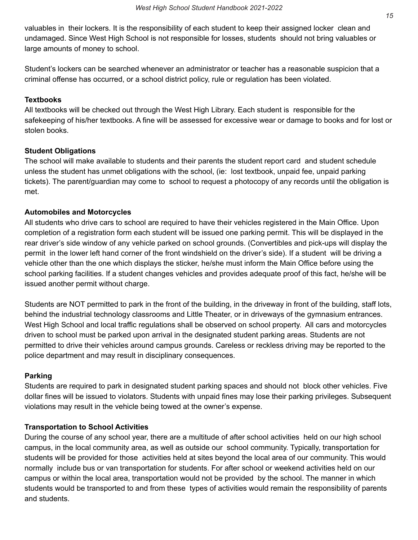valuables in their lockers. It is the responsibility of each student to keep their assigned locker clean and undamaged. Since West High School is not responsible for losses, students should not bring valuables or large amounts of money to school.

 Student's lockers can be searched whenever an administrator or teacher has a reasonable suspicion that a criminal offense has occurred, or a school district policy, rule or regulation has been violated.

#### **Textbooks**

 All textbooks will be checked out through the West High Library. Each student is responsible for the safekeeping of his/her textbooks. A fine will be assessed for excessive wear or damage to books and for lost or stolen books.

#### **Student Obligations**

 The school will make available to students and their parents the student report card and student schedule unless the student has unmet obligations with the school, (ie: lost textbook, unpaid fee, unpaid parking tickets). The parent/guardian may come to school to request a photocopy of any records until the obligation is met.

#### **Automobiles and Motorcycles**

 All students who drive cars to school are required to have their vehicles registered in the Main Office. Upon completion of a registration form each student will be issued one parking permit. This will be displayed in the rear driver's side window of any vehicle parked on school grounds. (Convertibles and pick-ups will display the permit in the lower left hand corner of the front windshield on the driver's side). If a student will be driving a vehicle other than the one which displays the sticker, he/she must inform the Main Office before using the school parking facilities. If a student changes vehicles and provides adequate proof of this fact, he/she will be issued another permit without charge.

 Students are NOT permitted to park in the front of the building, in the driveway in front of the building, staff lots, behind the industrial technology classrooms and Little Theater, or in driveways of the gymnasium entrances. West High School and local traffic regulations shall be observed on school property. All cars and motorcycles driven to school must be parked upon arrival in the designated student parking areas. Students are not permitted to drive their vehicles around campus grounds. Careless or reckless driving may be reported to the police department and may result in disciplinary consequences.

#### **Parking**

 Students are required to park in designated student parking spaces and should not block other vehicles. Five dollar fines will be issued to violators. Students with unpaid fines may lose their parking privileges. Subsequent violations may result in the vehicle being towed at the owner's expense.

## **Transportation to School Activities**

 During the course of any school year, there are a multitude of after school activities held on our high school campus, in the local community area, as well as outside our school community. Typically, transportation for students will be provided for those activities held at sites beyond the local area of our community. This would normally include bus or van transportation for students. For after school or weekend activities held on our campus or within the local area, transportation would not be provided by the school. The manner in which students would be transported to and from these types of activities would remain the responsibility of parents and students.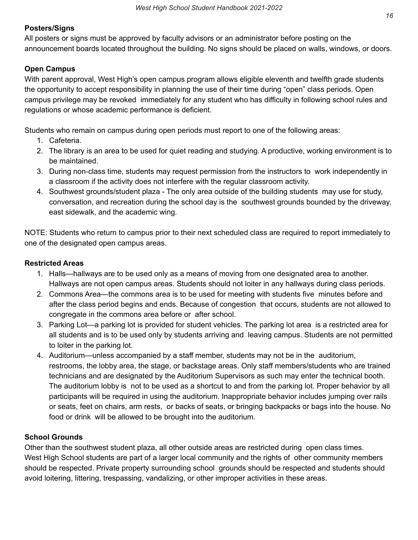#### **Posters/Signs**

 All posters or signs must be approved by faculty advisors or an administrator before posting on the announcement boards located throughout the building. No signs should be placed on walls, windows, or doors.

#### **Open Campus**

 With parent approval, West High's open campus program allows eligible eleventh and twelfth grade students the opportunity to accept responsibility in planning the use of their time during "open" class periods. Open campus privilege may be revoked immediately for any student who has difficulty in following school rules and regulations or whose academic performance is deficient.

Students who remain on campus during open periods must report to one of the following areas:

- 1. Cafeteria.
- 2. The library is an area to be used for quiet reading and studying. A productive, working environment is to be maintained.
- 3. During non-class time, students may request permission from the instructors to work independently in a classroom if the activity does not interfere with the regular classroom activity.
- 4. Southwest grounds/student plaza The only area outside of the building students may use for study, conversation, and recreation during the school day is the southwest grounds bounded by the driveway, east sidewalk, and the academic wing.

 NOTE: Students who return to campus prior to their next scheduled class are required to report immediately to one of the designated open campus areas.

#### **Restricted Areas**

- 1. Halls—hallways are to be used only as a means of moving from one designated area to another. Hallways are not open campus areas. Students should not loiter in any hallways during class periods.
- 2. Commons Area—the commons area is to be used for meeting with students five minutes before and after the class period begins and ends. Because of congestion that occurs, students are not allowed to congregate in the commons area before or after school.
- 3. Parking Lot—a parking lot is provided for student vehicles. The parking lot area is a restricted area for all students and is to be used only by students arriving and leaving campus. Students are not permitted to loiter in the parking lot.
- 4. Auditorium—unless accompanied by a staff member, students may not be in the auditorium, restrooms, the lobby area, the stage, or backstage areas. Only staff members/students who are trained technicians and are designated by the Auditorium Supervisors as such may enter the technical booth. The auditorium lobby is not to be used as a shortcut to and from the parking lot. Proper behavior by all participants will be required in using the auditorium. Inappropriate behavior includes jumping over rails or seats, feet on chairs, arm rests, or backs of seats, or bringing backpacks or bags into the house. No food or drink will be allowed to be brought into the auditorium.

#### **School Grounds**

 Other than the southwest student plaza, all other outside areas are restricted during open class times. West High School students are part of a larger local community and the rights of other community members should be respected. Private property surrounding school grounds should be respected and students should avoid loitering, littering, trespassing, vandalizing, or other improper activities in these areas.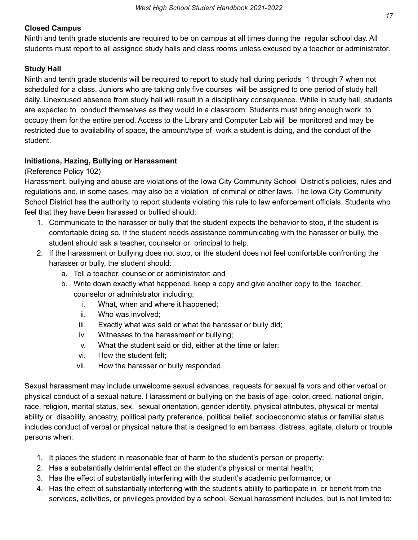## **Closed Campus**

 Ninth and tenth grade students are required to be on campus at all times during the regular school day. All students must report to all assigned study halls and class rooms unless excused by a teacher or administrator.

## **Study Hall**

 Ninth and tenth grade students will be required to report to study hall during periods 1 through 7 when not scheduled for a class. Juniors who are taking only five courses will be assigned to one period of study hall daily. Unexcused absence from study hall will result in a disciplinary consequence. While in study hall, students are expected to conduct themselves as they would in a classroom. Students must bring enough work to occupy them for the entire period. Access to the Library and Computer Lab will be monitored and may be restricted due to availability of space, the amount/type of work a student is doing, and the conduct of the student.

## **Initiations, Hazing, Bullying or Harassment**

#### (Reference Policy 102)

 Harassment, bullying and abuse are violations of the Iowa City Community School District's policies, rules and regulations and, in some cases, may also be a violation of criminal or other laws. The Iowa City Community School District has the authority to report students violating this rule to law enforcement officials. Students who feel that they have been harassed or bullied should:

- 1. Communicate to the harasser or bully that the student expects the behavior to stop, if the student is comfortable doing so. If the student needs assistance communicating with the harasser or bully, the student should ask a teacher, counselor or principal to help.
- 2. If the harassment or bullying does not stop, or the student does not feel comfortable confronting the harasser or bully, the student should:
	- a. Tell a teacher, counselor or administrator; and
	- b. Write down exactly what happened, keep a copy and give another copy to the teacher, counselor or administrator including;
		- i. What, when and where it happened;
		- ii. Who was involved;
		- iii. Exactly what was said or what the harasser or bully did;
		- iv. Witnesses to the harassment or bullying;
		- v. What the student said or did, either at the time or later;
		- vi. How the student felt;
		- vii. How the harasser or bully responded.

 Sexual harassment may include unwelcome sexual advances, requests for sexual fa vors and other verbal or physical conduct of a sexual nature. Harassment or bullying on the basis of age, color, creed, national origin, race, religion, marital status, sex, sexual orientation, gender identity, physical attributes, physical or mental ability or disability, ancestry, political party preference, political belief, socioeconomic status or familial status includes conduct of verbal or physical nature that is designed to em barrass, distress, agitate, disturb or trouble persons when:

- 1. It places the student in reasonable fear of harm to the student's person or property;
- 2. Has a substantially detrimental effect on the student's physical or mental health;
- 3. Has the effect of substantially interfering with the student's academic performance; or
- 4. Has the effect of substantially interfering with the student's ability to participate in or benefit from the services, activities, or privileges provided by a school. Sexual harassment includes, but is not limited to: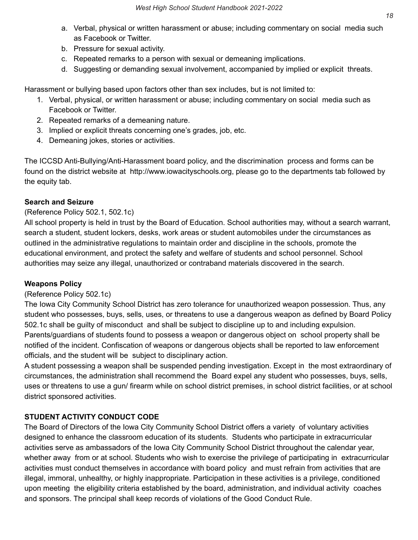- a. Verbal, physical or written harassment or abuse; including commentary on social media such as Facebook or Twitter.
- b. Pressure for sexual activity.
- c. Repeated remarks to a person with sexual or demeaning implications.
- d. Suggesting or demanding sexual involvement, accompanied by implied or explicit threats.

Harassment or bullying based upon factors other than sex includes, but is not limited to:

- 1. Verbal, physical, or written harassment or abuse; including commentary on social media such as Facebook or Twitter.
- 2. Repeated remarks of a demeaning nature.
- 3. Implied or explicit threats concerning one's grades, job, etc.
- 4. Demeaning jokes, stories or activities.

 The ICCSD Anti-Bullying/Anti-Harassment board policy, and the discrimination process and forms can be found on the district website at [http://www.iowacityschools.org,](http://www.iowacityschools.org) please go to the departments tab followed by the equity tab.

## **Search and Seizure**

## (Reference Policy 502.1, 502.1c)

 All school property is held in trust by the Board of Education. School authorities may, without a search warrant, search a student, student lockers, desks, work areas or student automobiles under the circumstances as outlined in the administrative regulations to maintain order and discipline in the schools, promote the educational environment, and protect the safety and welfare of students and school personnel. School authorities may seize any illegal, unauthorized or contraband materials discovered in the search.

## **Weapons Policy**

## (Reference Policy 502.1c)

 The Iowa City Community School District has zero tolerance for unauthorized weapon possession. Thus, any student who possesses, buys, sells, uses, or threatens to use a dangerous weapon as defined by Board Policy 502.1c shall be guilty of misconduct and shall be subject to discipline up to and including expulsion. Parents/guardians of students found to possess a weapon or dangerous object on school property shall be notified of the incident. Confiscation of weapons or dangerous objects shall be reported to law enforcement officials, and the student will be subject to disciplinary action.

 A student possessing a weapon shall be suspended pending investigation. Except in the most extraordinary of circumstances, the administration shall recommend the Board expel any student who possesses, buys, sells, uses or threatens to use a gun/ firearm while on school district premises, in school district facilities, or at school district sponsored activities.

## **STUDENT ACTIVITY CONDUCT CODE**

 The Board of Directors of the Iowa City Community School District offers a variety of voluntary activities designed to enhance the classroom education of its students. Students who participate in extracurricular activities serve as ambassadors of the Iowa City Community School District throughout the calendar year, whether away from or at school. Students who wish to exercise the privilege of participating in extracurricular activities must conduct themselves in accordance with board policy and must refrain from activities that are illegal, immoral, unhealthy, or highly inappropriate. Participation in these activities is a privilege, conditioned upon meeting the eligibility criteria established by the board, administration, and individual activity coaches and sponsors. The principal shall keep records of violations of the Good Conduct Rule.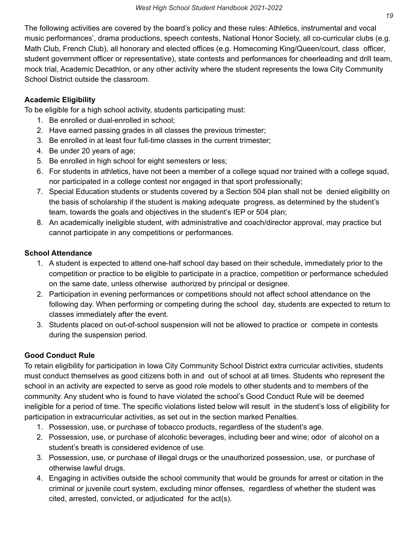The following activities are covered by the board's policy and these rules: Athletics, instrumental and vocal music performances', drama productions, speech contests, National Honor Society, all co-curricular clubs (e.g. Math Club, French Club), all honorary and elected offices (e.g. Homecoming King/Queen/court, class officer, student government officer or representative), state contests and performances for cheerleading and drill team, mock trial, Academic Decathlon, or any other activity where the student represents the Iowa City Community School District outside the classroom.

## **Academic Eligibility**

To be eligible for a high school activity, students participating must:

- 1. Be enrolled or dual-enrolled in school;
- 2. Have earned passing grades in all classes the previous trimester;
- 3. Be enrolled in at least four full-time classes in the current trimester;
- 4. Be under 20 years of age;
- 5. Be enrolled in high school for eight semesters or less;
- 6. For students in athletics, have not been a member of a college squad nor trained with a college squad, nor participated in a college contest nor engaged in that sport professionally;
- 7. Special Education students or students covered by a Section 504 plan shall not be denied eligibility on the basis of scholarship if the student is making adequate progress, as determined by the student's team, towards the goals and objectives in the student's IEP or 504 plan;
- 8. An academically ineligible student, with administrative and coach/director approval, may practice but cannot participate in any competitions or performances.

## **School Attendance**

- 1. A student is expected to attend one-half school day based on their schedule, immediately prior to the competition or practice to be eligible to participate in a practice, competition or performance scheduled on the same date, unless otherwise authorized by principal or designee.
- 2. Participation in evening performances or competitions should not affect school attendance on the following day. When performing or competing during the school day, students are expected to return to classes immediately after the event.
- 3. Students placed on out-of-school suspension will not be allowed to practice or compete in contests during the suspension period.

## **Good Conduct Rule**

 To retain eligibility for participation in Iowa City Community School District extra curricular activities, students must conduct themselves as good citizens both in and out of school at all times. Students who represent the school in an activity are expected to serve as good role models to other students and to members of the community. Any student who is found to have violated the school's Good Conduct Rule will be deemed ineligible for a period of time. The specific violations listed below will result in the student's loss of eligibility for participation in extracurricular activities, as set out in the section marked Penalties.

- 1. Possession, use, or purchase of tobacco products, regardless of the student's age.
- 2. Possession, use, or purchase of alcoholic beverages, including beer and wine; odor of alcohol on a student's breath is considered evidence of use.
- 3. Possession, use, or purchase of illegal drugs or the unauthorized possession, use, or purchase of otherwise lawful drugs.
- 4. Engaging in activities outside the school community that would be grounds for arrest or citation in the criminal or juvenile court system, excluding minor offenses, regardless of whether the student was cited, arrested, convicted, or adjudicated for the act(s).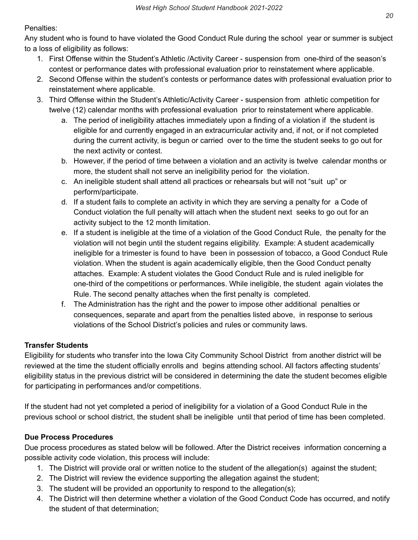## Penalties:

 Any student who is found to have violated the Good Conduct Rule during the school year or summer is subject to a loss of eligibility as follows:

- 1. First Offense within the Student's Athletic /Activity Career suspension from one-third of the season's contest or performance dates with professional evaluation prior to reinstatement where applicable.
- 2. Second Offense within the student's contests or performance dates with professional evaluation prior to reinstatement where applicable.
- 3. Third Offense within the Student's Athletic/Activity Career suspension from athletic competition for twelve (12) calendar months with professional evaluation prior to reinstatement where applicable.
	- a. The period of ineligibility attaches immediately upon a finding of a violation if the student is eligible for and currently engaged in an extracurricular activity and, if not, or if not completed during the current activity, is begun or carried over to the time the student seeks to go out for the next activity or contest.
	- b. However, if the period of time between a violation and an activity is twelve calendar months or more, the student shall not serve an ineligibility period for the violation.
	- c. An ineligible student shall attend all practices or rehearsals but will not "suit up" or perform/participate.
	- d. If a student fails to complete an activity in which they are serving a penalty for a Code of Conduct violation the full penalty will attach when the student next seeks to go out for an activity subject to the 12 month limitation.
	- e. If a student is ineligible at the time of a violation of the Good Conduct Rule, the penalty for the violation will not begin until the student regains eligibility. Example: A student academically ineligible for a trimester is found to have been in possession of tobacco, a Good Conduct Rule violation. When the student is again academically eligible, then the Good Conduct penalty attaches. Example: A student violates the Good Conduct Rule and is ruled ineligible for one-third of the competitions or performances. While ineligible, the student again violates the Rule. The second penalty attaches when the first penalty is completed.
	- f. The Administration has the right and the power to impose other additional penalties or consequences, separate and apart from the penalties listed above, in response to serious violations of the School District's policies and rules or community laws.

## **Transfer Students**

 Eligibility for students who transfer into the Iowa City Community School District from another district will be reviewed at the time the student officially enrolls and begins attending school. All factors affecting students' eligibility status in the previous district will be considered in determining the date the student becomes eligible for participating in performances and/or competitions.

 If the student had not yet completed a period of ineligibility for a violation of a Good Conduct Rule in the previous school or school district, the student shall be ineligible until that period of time has been completed.

## **Due Process Procedures**

 Due process procedures as stated below will be followed. After the District receives information concerning a possible activity code violation, this process will include:

- 1. The District will provide oral or written notice to the student of the allegation(s) against the student;
- 2. The District will review the evidence supporting the allegation against the student;
- 3. The student will be provided an opportunity to respond to the allegation(s);
- 4. The District will then determine whether a violation of the Good Conduct Code has occurred, and notify the student of that determination;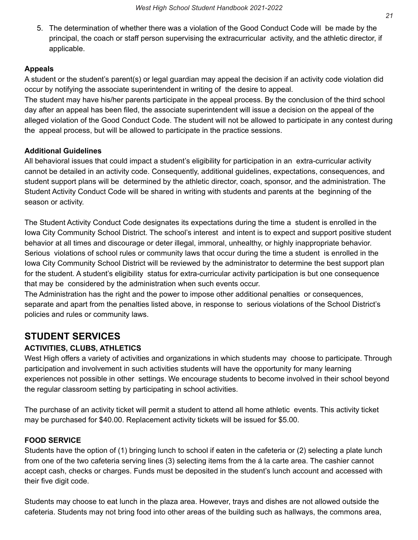5. The determination of whether there was a violation of the Good Conduct Code will be made by the principal, the coach or staff person supervising the extracurricular activity, and the athletic director, if applicable.

## **Appeals**

 A student or the student's parent(s) or legal guardian may appeal the decision if an activity code violation did occur by notifying the associate superintendent in writing of the desire to appeal.

 The student may have his/her parents participate in the appeal process. By the conclusion of the third school day after an appeal has been filed, the associate superintendent will issue a decision on the appeal of the alleged violation of the Good Conduct Code. The student will not be allowed to participate in any contest during the appeal process, but will be allowed to participate in the practice sessions.

## **Additional Guidelines**

 All behavioral issues that could impact a student's eligibility for participation in an extra-curricular activity cannot be detailed in an activity code. Consequently, additional guidelines, expectations, consequences, and student support plans will be determined by the athletic director, coach, sponsor, and the administration. The Student Activity Conduct Code will be shared in writing with students and parents at the beginning of the season or activity.

 The Student Activity Conduct Code designates its expectations during the time a student is enrolled in the Iowa City Community School District. The school's interest and intent is to expect and support positive student behavior at all times and discourage or deter illegal, immoral, unhealthy, or highly inappropriate behavior. Serious violations of school rules or community laws that occur during the time a student is enrolled in the Iowa City Community School District will be reviewed by the administrator to determine the best support plan for the student. A student's eligibility status for extra-curricular activity participation is but one consequence that may be considered by the administration when such events occur.

 The Administration has the right and the power to impose other additional penalties or consequences, separate and apart from the penalties listed above, in response to serious violations of the School District's policies and rules or community laws.

# **STUDENT SERVICES**

## **ACTIVITIES, CLUBS, ATHLETICS**

 West High offers a variety of activities and organizations in which students may choose to participate. Through participation and involvement in such activities students will have the opportunity for many learning experiences not possible in other settings. We encourage students to become involved in their school beyond the regular classroom setting by participating in school activities.

 The purchase of an activity ticket will permit a student to attend all home athletic events. This activity ticket may be purchased for \$40.00. Replacement activity tickets will be issued for \$5.00.

## **FOOD SERVICE**

 Students have the option of (1) bringing lunch to school if eaten in the cafeteria or (2) selecting a plate lunch from one of the two cafeteria serving lines (3) selecting items from the á la carte area. The cashier cannot accept cash, checks or charges. Funds must be deposited in the student's lunch account and accessed with their five digit code.

 Students may choose to eat lunch in the plaza area. However, trays and dishes are not allowed outside the cafeteria. Students may not bring food into other areas of the building such as hallways, the commons area,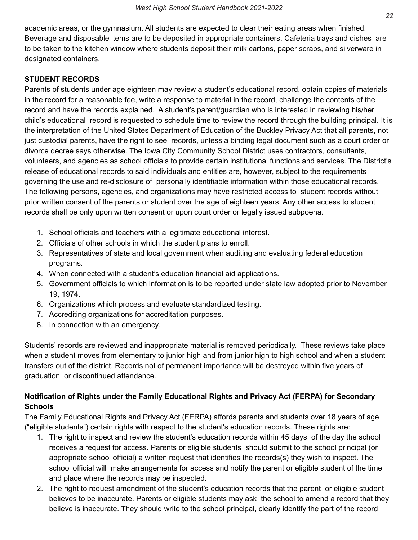academic areas, or the gymnasium. All students are expected to clear their eating areas when finished. Beverage and disposable items are to be deposited in appropriate containers. Cafeteria trays and dishes are to be taken to the kitchen window where students deposit their milk cartons, paper scraps, and silverware in designated containers.

#### **STUDENT RECORDS**

 Parents of students under age eighteen may review a student's educational record, obtain copies of materials in the record for a reasonable fee, write a response to material in the record, challenge the contents of the record and have the records explained. A student's parent/guardian who is interested in reviewing his/her child's educational record is requested to schedule time to review the record through the building principal. It is the interpretation of the United States Department of Education of the Buckley Privacy Act that all parents, not just custodial parents, have the right to see records, unless a binding legal document such as a court order or divorce decree says otherwise. The Iowa City Community School District uses contractors, consultants, volunteers, and agencies as school officials to provide certain institutional functions and services. The District's release of educational records to said individuals and entities are, however, subject to the requirements governing the use and re-disclosure of personally identifiable information within those educational records. The following persons, agencies, and organizations may have restricted access to student records without prior written consent of the parents or student over the age of eighteen years. Any other access to student records shall be only upon written consent or upon court order or legally issued subpoena.

- 1. School officials and teachers with a legitimate educational interest.
- 2. Officials of other schools in which the student plans to enroll.
- 3. Representatives of state and local government when auditing and evaluating federal education programs.
- 4. When connected with a student's education financial aid applications.
- 5. Government officials to which information is to be reported under state law adopted prior to November 19, 1974.
- 6. Organizations which process and evaluate standardized testing.
- 7. Accrediting organizations for accreditation purposes.
- 8. In connection with an emergency.

 Students' records are reviewed and inappropriate material is removed periodically. These reviews take place when a student moves from elementary to junior high and from junior high to high school and when a student transfers out of the district. Records not of permanent importance will be destroyed within five years of graduation or discontinued attendance.

## **Notification of Rights under the Family Educational Rights and Privacy Act (FERPA) for Secondary Schools**

 The Family Educational Rights and Privacy Act (FERPA) affords parents and students over 18 years of age ("eligible students") certain rights with respect to the student's education records. These rights are:

- 1. The right to inspect and review the student's education records within 45 days of the day the school receives a request for access. Parents or eligible students should submit to the school principal (or appropriate school official) a written request that identifies the records(s) they wish to inspect. The school official will make arrangements for access and notify the parent or eligible student of the time and place where the records may be inspected.
- 2. The right to request amendment of the student's education records that the parent or eligible student believes to be inaccurate. Parents or eligible students may ask the school to amend a record that they believe is inaccurate. They should write to the school principal, clearly identify the part of the record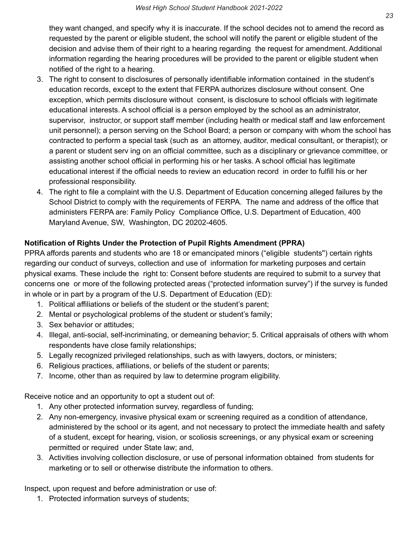they want changed, and specify why it is inaccurate. If the school decides not to amend the record as requested by the parent or eligible student, the school will notify the parent or eligible student of the decision and advise them of their right to a hearing regarding the request for amendment. Additional information regarding the hearing procedures will be provided to the parent or eligible student when notified of the right to a hearing.

- 3. The right to consent to disclosures of personally identifiable information contained in the student's education records, except to the extent that FERPA authorizes disclosure without consent. One exception, which permits disclosure without consent, is disclosure to school officials with legitimate educational interests. A school official is a person employed by the school as an administrator, supervisor, instructor, or support staff member (including health or medical staff and law enforcement unit personnel); a person serving on the School Board; a person or company with whom the school has contracted to perform a special task (such as an attorney, auditor, medical consultant, or therapist); or a parent or student serv ing on an official committee, such as a disciplinary or grievance committee, or assisting another school official in performing his or her tasks. A school official has legitimate educational interest if the official needs to review an education record in order to fulfill his or her professional responsibility.
- 4. The right to file a complaint with the U.S. Department of Education concerning alleged failures by the School District to comply with the requirements of FERPA. The name and address of the office that administers FERPA are: Family Policy Compliance Office, U.S. Department of Education, 400 Maryland Avenue, SW, Washington, DC 20202-4605.

## **Notification of Rights Under the Protection of Pupil Rights Amendment (PPRA)**

 PPRA affords parents and students who are 18 or emancipated minors ("eligible students'') certain rights regarding our conduct of surveys, collection and use of information for marketing purposes and certain physical exams. These include the right to: Consent before students are required to submit to a survey that concerns one or more of the following protected areas ("protected information survey") if the survey is funded in whole or in part by a program of the U.S. Department of Education (ED):

- 1. Political affiliations or beliefs of the student or the student's parent;
- 2. Mental or psychological problems of the student or student's family;
- 3. Sex behavior or attitudes;
- 4. Illegal, anti-social, self-incriminating, or demeaning behavior; 5. Critical appraisals of others with whom respondents have close family relationships;
- 5. Legally recognized privileged relationships, such as with lawyers, doctors, or ministers;
- 6. Religious practices, affiliations, or beliefs of the student or parents;
- 7. Income, other than as required by law to determine program eligibility.

Receive notice and an opportunity to opt a student out of:

- 1. Any other protected information survey, regardless of funding;
- 2. Any non-emergency, invasive physical exam or screening required as a condition of attendance, administered by the school or its agent, and not necessary to protect the immediate health and safety of a student, except for hearing, vision, or scoliosis screenings, or any physical exam or screening permitted or required under State law; and,
- 3. Activities involving collection disclosure, or use of personal information obtained from students for marketing or to sell or otherwise distribute the information to others.

Inspect, upon request and before administration or use of:

1. Protected information surveys of students;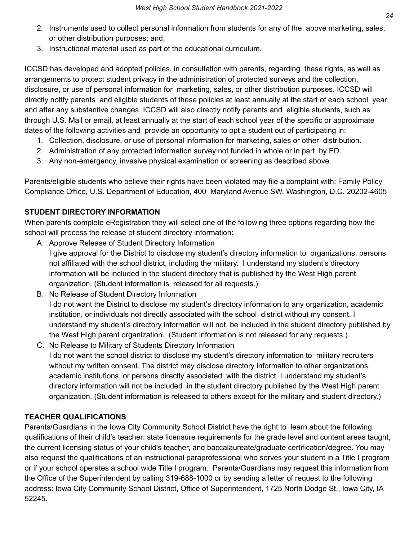- 2. Instruments used to collect personal information from students for any of the above marketing, sales, or other distribution purposes; and,
- 3. Instructional material used as part of the educational curriculum.

 ICCSD has developed and adopted policies, in consultation with parents, regarding these rights, as well as arrangements to protect student privacy in the administration of protected surveys and the collection, disclosure, or use of personal information for marketing, sales, or other distribution purposes. ICCSD will directly notify parents and eligible students of these policies at least annually at the start of each school year and after any substantive changes. ICCSD will also directly notify parents and eligible students, such as through U.S. Mail or email, at least annually at the start of each school year of the specific or approximate dates of the following activities and provide an opportunity to opt a student out of participating in:

- 1. Collection, disclosure, or use of personal information for marketing, sales or other distribution.
- 2. Administration of any protected information survey not funded in whole or in part by ED.
- 3. Any non-emergency, invasive physical examination or screening as described above.

 Parents/eligible students who believe their rights have been violated may file a complaint with: Family Policy Compliance Office, U.S. Department of Education, 400 Maryland Avenue SW, Washington, D.C. 20202-4605

## **STUDENT DIRECTORY INFORMATION**

 When parents complete eRegistration they will select one of the following three options regarding how the school will process the release of student directory information:

A. Approve Release of Student Directory Information

 I give approval for the District to disclose my student's directory information to organizations, persons not affiliated with the school district, including the military. I understand my student's directory information will be included in the student directory that is published by the West High parent organization. (Student information is released for all requests.)

- B. No Release of Student Directory Information I do not want the District to disclose my student's directory information to any organization, academic institution, or individuals not directly associated with the school district without my consent. I understand my student's directory information will not be included in the student directory published by the West High parent organization. (Student information is not released for any requests.)
- C. No Release to Military of Students Directory Information I do not want the school district to disclose my student's directory information to military recruiters without my written consent. The district may disclose directory information to other organizations, academic institutions, or persons directly associated with the district. I understand my student's directory information will not be included in the student directory published by the West High parent organization. (Student information is released to others except for the military and student directory.)

## **TEACHER QUALIFICATIONS**

 Parents/Guardians in the Iowa City Community School District have the right to learn about the following qualifications of their child's teacher: state licensure requirements for the grade level and content areas taught, the current licensing status of your child's teacher, and baccalaureate/graduate certification/degree. You may also request the qualifications of an instructional paraprofessional who serves your student in a Title I program or if your school operates a school wide Title I program. Parents/Guardians may request this information from the Office of the Superintendent by calling 319-688-1000 or by sending a letter of request to the following address: Iowa City Community School District, Office of Superintendent, 1725 North Dodge St., Iowa City, IA 52245.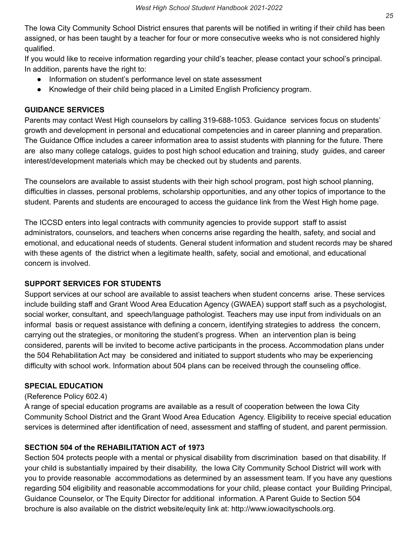The Iowa City Community School District ensures that parents will be notified in writing if their child has been assigned, or has been taught by a teacher for four or more consecutive weeks who is not considered highly qualified.

 If you would like to receive information regarding your child's teacher, please contact your school's principal. In addition, parents have the right to:

- Information on student's performance level on state assessment
- Knowledge of their child being placed in a Limited English Proficiency program.

## **GUIDANCE SERVICES**

 Parents may contact West High counselors by calling 319-688-1053. Guidance services focus on students' growth and development in personal and educational competencies and in career planning and preparation. The Guidance Office includes a career information area to assist students with planning for the future. There are also many college catalogs, guides to post high school education and training, study guides, and career interest/development materials which may be checked out by students and parents.

 The counselors are available to assist students with their high school program, post high school planning, difficulties in classes, personal problems, scholarship opportunities, and any other topics of importance to the student. Parents and students are encouraged to access the guidance link from the West High home page.

 The ICCSD enters into legal contracts with community agencies to provide support staff to assist administrators, counselors, and teachers when concerns arise regarding the health, safety, and social and emotional, and educational needs of students. General student information and student records may be shared with these agents of the district when a legitimate health, safety, social and emotional, and educational concern is involved.

## **SUPPORT SERVICES FOR STUDENTS**

 Support services at our school are available to assist teachers when student concerns arise. These services include building staff and Grant Wood Area Education Agency (GWAEA) support staff such as a psychologist, social worker, consultant, and speech/language pathologist. Teachers may use input from individuals on an informal basis or request assistance with defining a concern, identifying strategies to address the concern, carrying out the strategies, or monitoring the student's progress. When an intervention plan is being considered, parents will be invited to become active participants in the process. Accommodation plans under the 504 Rehabilitation Act may be considered and initiated to support students who may be experiencing difficulty with school work. Information about 504 plans can be received through the counseling office.

## **SPECIAL EDUCATION**

## (Reference Policy 602.4)

 A range of special education programs are available as a result of cooperation between the Iowa City Community School District and the Grant Wood Area Education Agency. Eligibility to receive special education services is determined after identification of need, assessment and staffing of student, and parent permission.

## **SECTION 504 of the REHABILITATION ACT of 1973**

 Section 504 protects people with a mental or physical disability from discrimination based on that disability. If your child is substantially impaired by their disability, the Iowa City Community School District will work with you to provide reasonable accommodations as determined by an assessment team. If you have any questions regarding 504 eligibility and reasonable accommodations for your child, please contact your Building Principal, Guidance Counselor, or The Equity Director for additional information. A Parent Guide to Section 504 brochure is also available on the district website/equity link at: <http://www.iowacityschools.org>.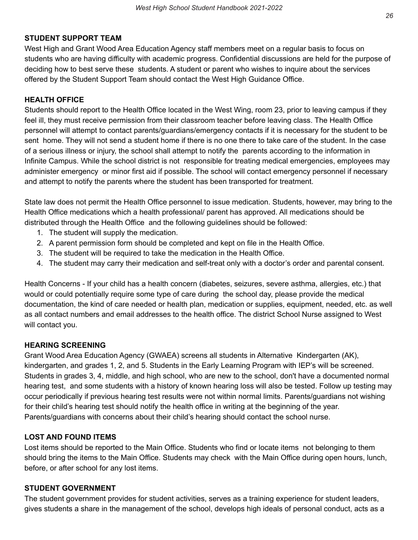#### **STUDENT SUPPORT TEAM**

 West High and Grant Wood Area Education Agency staff members meet on a regular basis to focus on students who are having difficulty with academic progress. Confidential discussions are held for the purpose of deciding how to best serve these students. A student or parent who wishes to inquire about the services offered by the Student Support Team should contact the West High Guidance Office.

#### **HEALTH OFFICE**

 Students should report to the Health Office located in the West Wing, room 23, prior to leaving campus if they feel ill, they must receive permission from their classroom teacher before leaving class. The Health Office personnel will attempt to contact parents/guardians/emergency contacts if it is necessary for the student to be sent home. They will not send a student home if there is no one there to take care of the student. In the case of a serious illness or injury, the school shall attempt to notify the parents according to the information in Infinite Campus. While the school district is not responsible for treating medical emergencies, employees may administer emergency or minor first aid if possible. The school will contact emergency personnel if necessary and attempt to notify the parents where the student has been transported for treatment.

 State law does not permit the Health Office personnel to issue medication. Students, however, may bring to the Health Office medications which a health professional/ parent has approved. All medications should be distributed through the Health Office and the following guidelines should be followed:

- 1. The student will supply the medication.
- 2. A parent permission form should be completed and kept on file in the Health Office.
- 3. The student will be required to take the medication in the Health Office.
- 4. The student may carry their medication and self-treat only with a doctor's order and parental consent.

 Health Concerns - If your child has a health concern (diabetes, seizures, severe asthma, allergies, etc.) that would or could potentially require some type of care during the school day, please provide the medical documentation, the kind of care needed or health plan, medication or supplies, equipment, needed, etc. as well as all contact numbers and email addresses to the health office. The district School Nurse assigned to West will contact you.

#### **HEARING SCREENING**

 Grant Wood Area Education Agency (GWAEA) screens all students in Alternative Kindergarten (AK), kindergarten, and grades 1, 2, and 5. Students in the Early Learning Program with IEP's will be screened. Students in grades 3, 4, middle, and high school, who are new to the school, don't have a documented normal hearing test, and some students with a history of known hearing loss will also be tested. Follow up testing may occur periodically if previous hearing test results were not within normal limits. Parents/guardians not wishing for their child's hearing test should notify the health office in writing at the beginning of the year. Parents/guardians with concerns about their child's hearing should contact the school nurse.

## **LOST AND FOUND ITEMS**

 Lost items should be reported to the Main Office. Students who find or locate items not belonging to them should bring the items to the Main Office. Students may check with the Main Office during open hours, lunch, before, or after school for any lost items.

#### **STUDENT GOVERNMENT**

 The student government provides for student activities, serves as a training experience for student leaders, gives students a share in the management of the school, develops high ideals of personal conduct, acts as a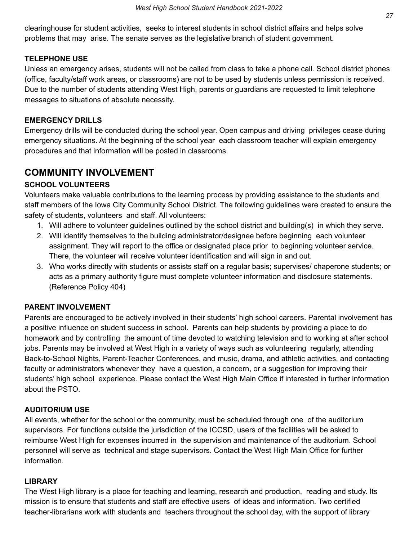clearinghouse for student activities, seeks to interest students in school district affairs and helps solve problems that may arise. The senate serves as the legislative branch of student government.

#### **TELEPHONE USE**

 Unless an emergency arises, students will not be called from class to take a phone call. School district phones (office, faculty/staff work areas, or classrooms) are not to be used by students unless permission is received. Due to the number of students attending West High, parents or guardians are requested to limit telephone messages to situations of absolute necessity.

#### **EMERGENCY DRILLS**

 Emergency drills will be conducted during the school year. Open campus and driving privileges cease during emergency situations. At the beginning of the school year each classroom teacher will explain emergency procedures and that information will be posted in classrooms.

## **COMMUNITY INVOLVEMENT**

#### **SCHOOL VOLUNTEERS**

 Volunteers make valuable contributions to the learning process by providing assistance to the students and staff members of the Iowa City Community School District. The following guidelines were created to ensure the safety of students, volunteers and staff. All volunteers:

- 1. Will adhere to volunteer guidelines outlined by the school district and building(s) in which they serve.
- 2. Will identify themselves to the building administrator/designee before beginning each volunteer assignment. They will report to the office or designated place prior to beginning volunteer service. There, the volunteer will receive volunteer identification and will sign in and out.
- 3. Who works directly with students or assists staff on a regular basis; supervises/ chaperone students; or acts as a primary authority figure must complete volunteer information and disclosure statements. (Reference Policy 404)

#### **PARENT INVOLVEMENT**

 Parents are encouraged to be actively involved in their students' high school careers. Parental involvement has a positive influence on student success in school. Parents can help students by providing a place to do homework and by controlling the amount of time devoted to watching television and to working at after school jobs. Parents may be involved at West High in a variety of ways such as volunteering regularly, attending Back-to-School Nights, Parent-Teacher Conferences, and music, drama, and athletic activities, and contacting faculty or administrators whenever they have a question, a concern, or a suggestion for improving their students' high school experience. Please contact the West High Main Office if interested in further information about the PSTO.

#### **AUDITORIUM USE**

 All events, whether for the school or the community, must be scheduled through one of the auditorium supervisors. For functions outside the jurisdiction of the ICCSD, users of the facilities will be asked to reimburse West High for expenses incurred in the supervision and maintenance of the auditorium. School personnel will serve as technical and stage supervisors. Contact the West High Main Office for further information.

#### **LIBRARY**

 The West High library is a place for teaching and learning, research and production, reading and study. Its mission is to ensure that students and staff are effective users of ideas and information. Two certified teacher-librarians work with students and teachers throughout the school day, with the support of library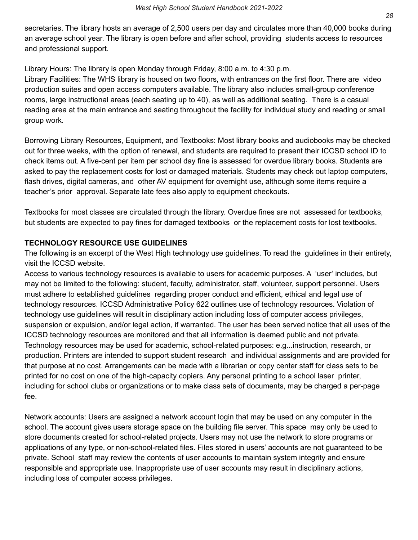secretaries. The library hosts an average of 2,500 users per day and circulates more than 40,000 books during an average school year. The library is open before and after school, providing students access to resources and professional support.

Library Hours: The library is open Monday through Friday, 8:00 a.m. to 4:30 p.m.

 Library Facilities: The WHS library is housed on two floors, with entrances on the first floor. There are video production suites and open access computers available. The library also includes small-group conference rooms, large instructional areas (each seating up to 40), as well as additional seating. There is a casual reading area at the main entrance and seating throughout the facility for individual study and reading or small group work.

 Borrowing Library Resources, Equipment, and Textbooks: Most library books and audiobooks may be checked out for three weeks, with the option of renewal, and students are required to present their ICCSD school ID to check items out. A five-cent per item per school day fine is assessed for overdue library books. Students are asked to pay the replacement costs for lost or damaged materials. Students may check out laptop computers, flash drives, digital cameras, and other AV equipment for overnight use, although some items require a teacher's prior approval. Separate late fees also apply to equipment checkouts.

 Textbooks for most classes are circulated through the library. Overdue fines are not assessed for textbooks, but students are expected to pay fines for damaged textbooks or the replacement costs for lost textbooks.

## **TECHNOLOGY RESOURCE USE GUIDELINES**

 The following is an excerpt of the West High technology use guidelines. To read the guidelines in their entirety, visit the ICCSD website.

 Access to various technology resources is available to users for academic purposes. A 'user' includes, but may not be limited to the following: student, faculty, administrator, staff, volunteer, support personnel. Users must adhere to established guidelines regarding proper conduct and efficient, ethical and legal use of technology resources. ICCSD Administrative Policy 622 outlines use of technology resources. Violation of technology use guidelines will result in disciplinary action including loss of computer access privileges, suspension or expulsion, and/or legal action, if warranted. The user has been served notice that all uses of the ICCSD technology resources are monitored and that all information is deemed public and not private. Technology resources may be used for academic, school-related purposes: e.g...instruction, research, or production. Printers are intended to support student research and individual assignments and are provided for that purpose at no cost. Arrangements can be made with a librarian or copy center staff for class sets to be printed for no cost on one of the high-capacity copiers. Any personal printing to a school laser printer, including for school clubs or organizations or to make class sets of documents, may be charged a per-page fee.

 Network accounts: Users are assigned a network account login that may be used on any computer in the school. The account gives users storage space on the building file server. This space may only be used to store documents created for school-related projects. Users may not use the network to store programs or applications of any type, or non-school-related files. Files stored in users' accounts are not guaranteed to be private. School staff may review the contents of user accounts to maintain system integrity and ensure responsible and appropriate use. Inappropriate use of user accounts may result in disciplinary actions, including loss of computer access privileges.